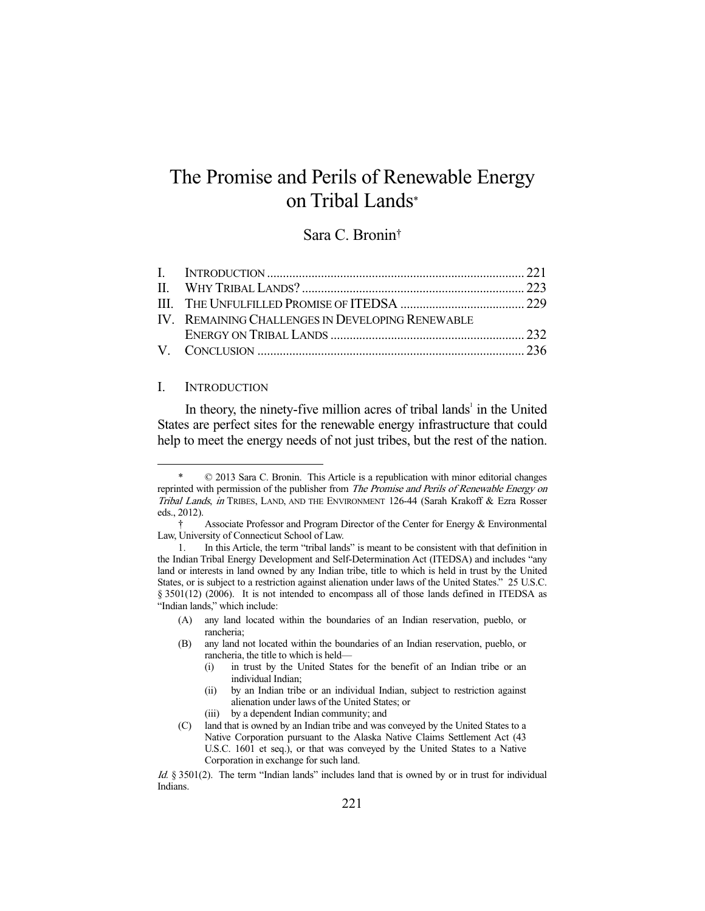# The Promise and Perils of Renewable Energy on Tribal Lands\*

## Sara C. Bronin†

|  | IV. REMAINING CHALLENGES IN DEVELOPING RENEWABLE |  |
|--|--------------------------------------------------|--|
|  |                                                  |  |
|  |                                                  |  |

### I. INTRODUCTION

-

In theory, the ninety-five million acres of tribal lands<sup> $1$ </sup> in the United States are perfect sites for the renewable energy infrastructure that could help to meet the energy needs of not just tribes, but the rest of the nation.

(A) any land located within the boundaries of an Indian reservation, pueblo, or rancheria;

- (i) in trust by the United States for the benefit of an Indian tribe or an individual Indian;
- (ii) by an Indian tribe or an individual Indian, subject to restriction against alienation under laws of the United States; or
- (iii) by a dependent Indian community; and

Id. § 3501(2). The term "Indian lands" includes land that is owned by or in trust for individual Indians.

 <sup>\* © 2013</sup> Sara C. Bronin. This Article is a republication with minor editorial changes reprinted with permission of the publisher from *The Promise and Perils of Renewable Energy on* Tribal Lands, in TRIBES, LAND, AND THE ENVIRONMENT 126-44 (Sarah Krakoff & Ezra Rosser eds., 2012).

 <sup>†</sup> Associate Professor and Program Director of the Center for Energy & Environmental Law, University of Connecticut School of Law.

 <sup>1.</sup> In this Article, the term "tribal lands" is meant to be consistent with that definition in the Indian Tribal Energy Development and Self-Determination Act (ITEDSA) and includes "any land or interests in land owned by any Indian tribe, title to which is held in trust by the United States, or is subject to a restriction against alienation under laws of the United States." 25 U.S.C. § 3501(12) (2006). It is not intended to encompass all of those lands defined in ITEDSA as "Indian lands," which include:

<sup>(</sup>B) any land not located within the boundaries of an Indian reservation, pueblo, or rancheria, the title to which is held—

<sup>(</sup>C) land that is owned by an Indian tribe and was conveyed by the United States to a Native Corporation pursuant to the Alaska Native Claims Settlement Act (43 U.S.C. 1601 et seq.), or that was conveyed by the United States to a Native Corporation in exchange for such land.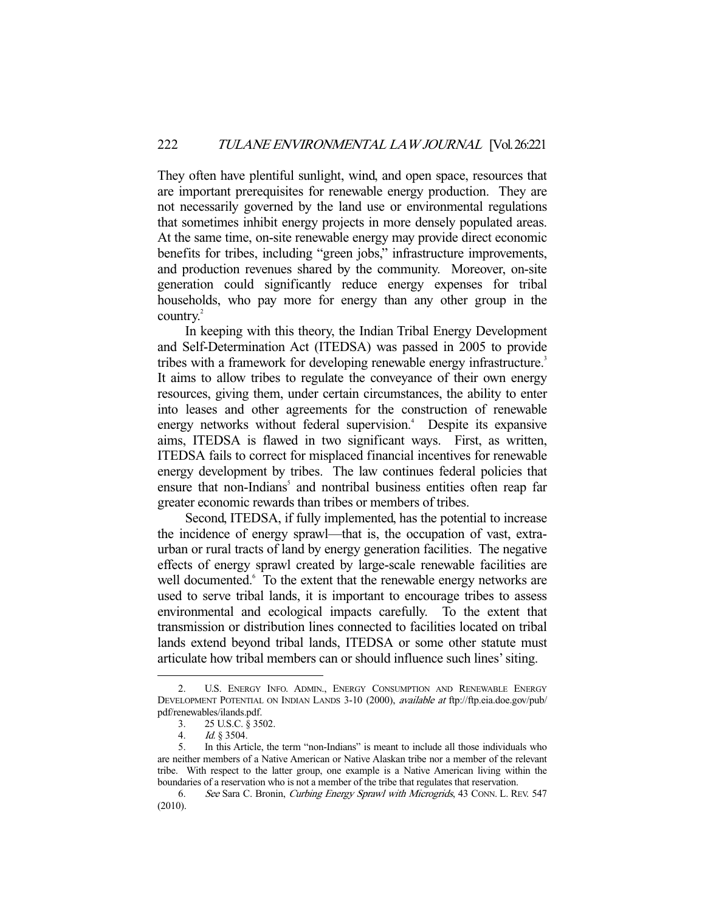They often have plentiful sunlight, wind, and open space, resources that are important prerequisites for renewable energy production. They are not necessarily governed by the land use or environmental regulations that sometimes inhibit energy projects in more densely populated areas. At the same time, on-site renewable energy may provide direct economic benefits for tribes, including "green jobs," infrastructure improvements, and production revenues shared by the community. Moreover, on-site generation could significantly reduce energy expenses for tribal households, who pay more for energy than any other group in the country.<sup>2</sup>

 In keeping with this theory, the Indian Tribal Energy Development and Self-Determination Act (ITEDSA) was passed in 2005 to provide tribes with a framework for developing renewable energy infrastructure.<sup>3</sup> It aims to allow tribes to regulate the conveyance of their own energy resources, giving them, under certain circumstances, the ability to enter into leases and other agreements for the construction of renewable energy networks without federal supervision.<sup>4</sup> Despite its expansive aims, ITEDSA is flawed in two significant ways. First, as written, ITEDSA fails to correct for misplaced financial incentives for renewable energy development by tribes. The law continues federal policies that ensure that non-Indians<sup>5</sup> and nontribal business entities often reap far greater economic rewards than tribes or members of tribes.

 Second, ITEDSA, if fully implemented, has the potential to increase the incidence of energy sprawl—that is, the occupation of vast, extraurban or rural tracts of land by energy generation facilities. The negative effects of energy sprawl created by large-scale renewable facilities are well documented.<sup>6</sup> To the extent that the renewable energy networks are used to serve tribal lands, it is important to encourage tribes to assess environmental and ecological impacts carefully. To the extent that transmission or distribution lines connected to facilities located on tribal lands extend beyond tribal lands, ITEDSA or some other statute must articulate how tribal members can or should influence such lines' siting.

 <sup>2.</sup> U.S. ENERGY INFO. ADMIN., ENERGY CONSUMPTION AND RENEWABLE ENERGY DEVELOPMENT POTENTIAL ON INDIAN LANDS 3-10 (2000), available at ftp://ftp.eia.doe.gov/pub/ pdf/renewables/ilands.pdf.

 <sup>3. 25</sup> U.S.C. § 3502.

 <sup>4.</sup> Id. § 3504.

 <sup>5.</sup> In this Article, the term "non-Indians" is meant to include all those individuals who are neither members of a Native American or Native Alaskan tribe nor a member of the relevant tribe. With respect to the latter group, one example is a Native American living within the boundaries of a reservation who is not a member of the tribe that regulates that reservation.

<sup>6.</sup> See Sara C. Bronin, Curbing Energy Sprawl with Microgrids, 43 CONN. L. REV. 547 (2010).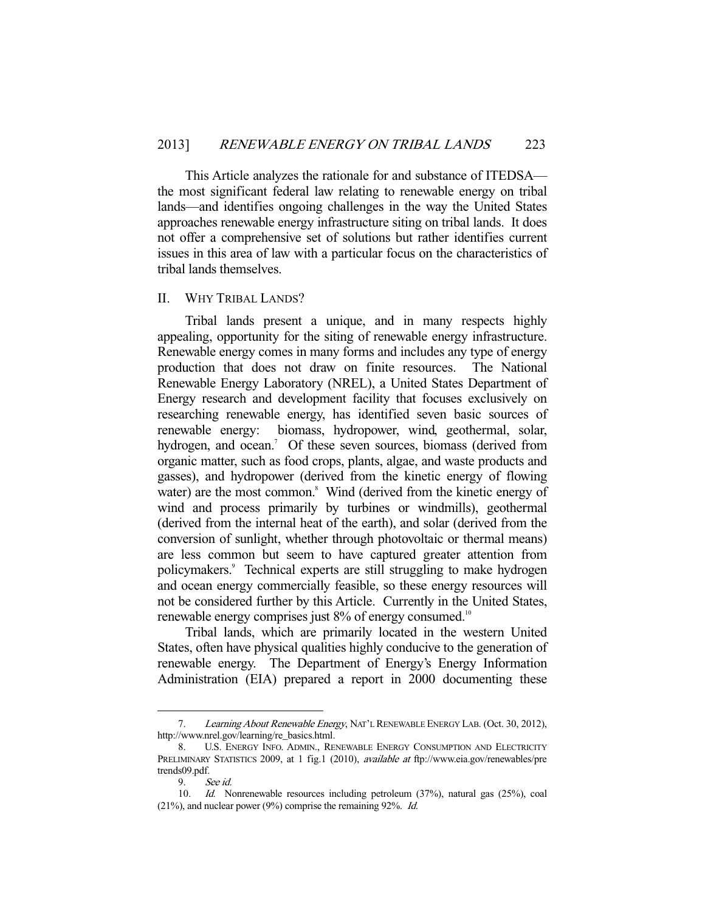This Article analyzes the rationale for and substance of ITEDSA the most significant federal law relating to renewable energy on tribal lands—and identifies ongoing challenges in the way the United States approaches renewable energy infrastructure siting on tribal lands. It does not offer a comprehensive set of solutions but rather identifies current issues in this area of law with a particular focus on the characteristics of tribal lands themselves.

#### II. WHY TRIBAL LANDS?

 Tribal lands present a unique, and in many respects highly appealing, opportunity for the siting of renewable energy infrastructure. Renewable energy comes in many forms and includes any type of energy production that does not draw on finite resources. The National Renewable Energy Laboratory (NREL), a United States Department of Energy research and development facility that focuses exclusively on researching renewable energy, has identified seven basic sources of renewable energy: biomass, hydropower, wind, geothermal, solar, hydrogen, and ocean.<sup>7</sup> Of these seven sources, biomass (derived from organic matter, such as food crops, plants, algae, and waste products and gasses), and hydropower (derived from the kinetic energy of flowing water) are the most common.<sup>8</sup> Wind (derived from the kinetic energy of wind and process primarily by turbines or windmills), geothermal (derived from the internal heat of the earth), and solar (derived from the conversion of sunlight, whether through photovoltaic or thermal means) are less common but seem to have captured greater attention from policymakers.<sup>9</sup> Technical experts are still struggling to make hydrogen and ocean energy commercially feasible, so these energy resources will not be considered further by this Article. Currently in the United States, renewable energy comprises just 8% of energy consumed.<sup>10</sup>

 Tribal lands, which are primarily located in the western United States, often have physical qualities highly conducive to the generation of renewable energy. The Department of Energy's Energy Information Administration (EIA) prepared a report in 2000 documenting these

<sup>7.</sup> Learning About Renewable Energy, NAT'L RENEWABLE ENERGY LAB. (Oct. 30, 2012), http://www.nrel.gov/learning/re\_basics.html.

 <sup>8.</sup> U.S. ENERGY INFO. ADMIN., RENEWABLE ENERGY CONSUMPTION AND ELECTRICITY PRELIMINARY STATISTICS 2009, at 1 fig.1 (2010), available at ftp://www.eia.gov/renewables/pre trends09.pdf.

 <sup>9.</sup> See id.

 <sup>10.</sup> Id. Nonrenewable resources including petroleum (37%), natural gas (25%), coal (21%), and nuclear power (9%) comprise the remaining 92%. Id.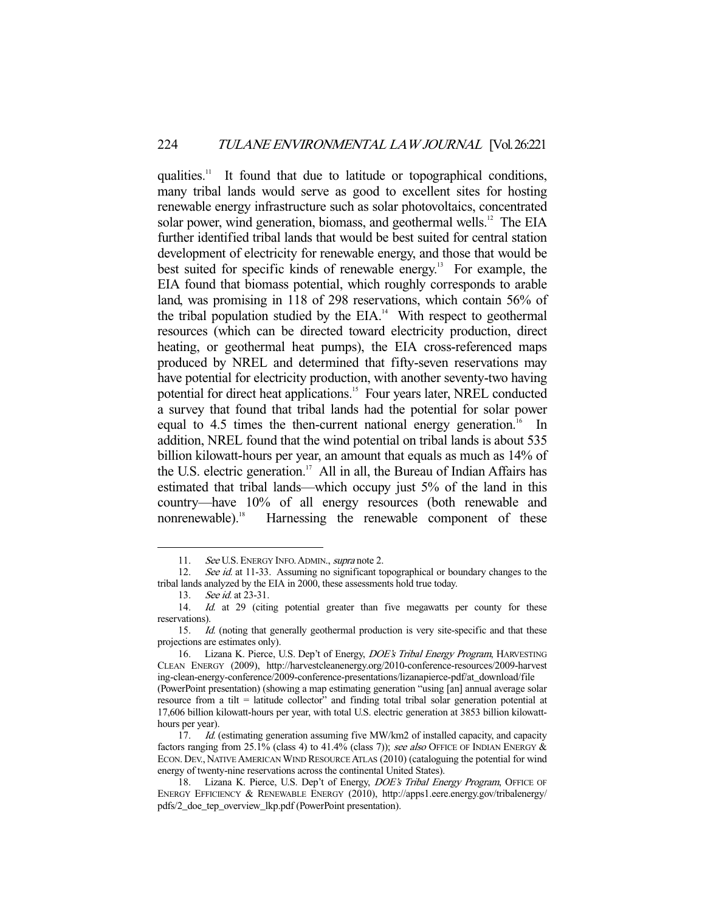qualities.11 It found that due to latitude or topographical conditions, many tribal lands would serve as good to excellent sites for hosting renewable energy infrastructure such as solar photovoltaics, concentrated solar power, wind generation, biomass, and geothermal wells.<sup>12</sup> The EIA further identified tribal lands that would be best suited for central station development of electricity for renewable energy, and those that would be best suited for specific kinds of renewable energy.<sup>13</sup> For example, the EIA found that biomass potential, which roughly corresponds to arable land, was promising in 118 of 298 reservations, which contain 56% of the tribal population studied by the  $EIA$ .<sup>14</sup> With respect to geothermal resources (which can be directed toward electricity production, direct heating, or geothermal heat pumps), the EIA cross-referenced maps produced by NREL and determined that fifty-seven reservations may have potential for electricity production, with another seventy-two having potential for direct heat applications.15 Four years later, NREL conducted a survey that found that tribal lands had the potential for solar power equal to 4.5 times the then-current national energy generation.<sup>16</sup> In addition, NREL found that the wind potential on tribal lands is about 535 billion kilowatt-hours per year, an amount that equals as much as 14% of the U.S. electric generation.<sup>17</sup> All in all, the Bureau of Indian Affairs has estimated that tribal lands—which occupy just 5% of the land in this country—have 10% of all energy resources (both renewable and nonrenewable).<sup>18</sup> Harnessing the renewable component of these

<sup>11.</sup> See U.S. ENERGY INFO. ADMIN., supra note 2.

<sup>12.</sup> See id. at 11-33. Assuming no significant topographical or boundary changes to the tribal lands analyzed by the EIA in 2000, these assessments hold true today.

<sup>13.</sup> See id. at 23-31.

<sup>14.</sup> Id. at 29 (citing potential greater than five megawatts per county for these reservations).

<sup>15.</sup> Id. (noting that generally geothermal production is very site-specific and that these projections are estimates only).

<sup>16.</sup> Lizana K. Pierce, U.S. Dep't of Energy, DOE's Tribal Energy Program, HARVESTING CLEAN ENERGY (2009), http://harvestcleanenergy.org/2010-conference-resources/2009-harvest ing-clean-energy-conference/2009-conference-presentations/lizanapierce-pdf/at\_download/file (PowerPoint presentation) (showing a map estimating generation "using [an] annual average solar

resource from a tilt = latitude collector" and finding total tribal solar generation potential at 17,606 billion kilowatt-hours per year, with total U.S. electric generation at 3853 billion kilowatthours per year).

<sup>17.</sup> Id. (estimating generation assuming five MW/km2 of installed capacity, and capacity factors ranging from 25.1% (class 4) to 41.4% (class 7)); see also OFFICE OF INDIAN ENERGY & ECON. DEV., NATIVE AMERICAN WIND RESOURCE ATLAS (2010) (cataloguing the potential for wind energy of twenty-nine reservations across the continental United States).

<sup>18.</sup> Lizana K. Pierce, U.S. Dep't of Energy, DOE's Tribal Energy Program, OFFICE OF ENERGY EFFICIENCY & RENEWABLE ENERGY (2010), http://apps1.eere.energy.gov/tribalenergy/ pdfs/2\_doe\_tep\_overview\_lkp.pdf (PowerPoint presentation).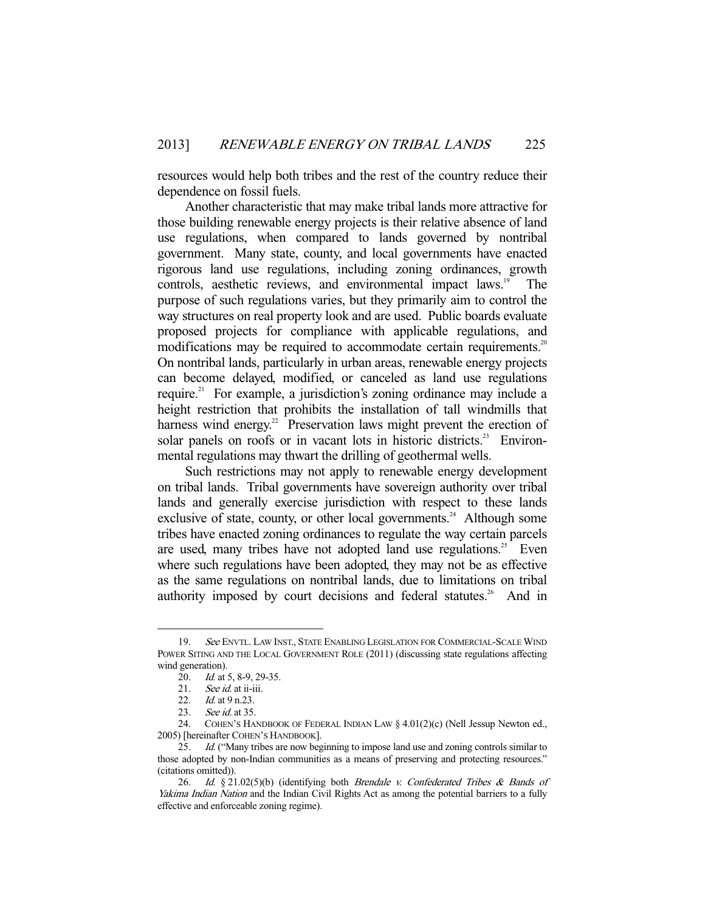resources would help both tribes and the rest of the country reduce their dependence on fossil fuels.

 Another characteristic that may make tribal lands more attractive for those building renewable energy projects is their relative absence of land use regulations, when compared to lands governed by nontribal government. Many state, county, and local governments have enacted rigorous land use regulations, including zoning ordinances, growth controls, aesthetic reviews, and environmental impact laws.<sup>19</sup> The purpose of such regulations varies, but they primarily aim to control the way structures on real property look and are used. Public boards evaluate proposed projects for compliance with applicable regulations, and modifications may be required to accommodate certain requirements.<sup>20</sup> On nontribal lands, particularly in urban areas, renewable energy projects can become delayed, modified, or canceled as land use regulations require.<sup>21</sup> For example, a jurisdiction's zoning ordinance may include a height restriction that prohibits the installation of tall windmills that harness wind energy.<sup>22</sup> Preservation laws might prevent the erection of solar panels on roofs or in vacant lots in historic districts.<sup>23</sup> Environmental regulations may thwart the drilling of geothermal wells.

 Such restrictions may not apply to renewable energy development on tribal lands. Tribal governments have sovereign authority over tribal lands and generally exercise jurisdiction with respect to these lands exclusive of state, county, or other local governments.<sup>24</sup> Although some tribes have enacted zoning ordinances to regulate the way certain parcels are used, many tribes have not adopted land use regulations.<sup>25</sup> Even where such regulations have been adopted, they may not be as effective as the same regulations on nontribal lands, due to limitations on tribal authority imposed by court decisions and federal statutes.<sup>26</sup> And in

<sup>19.</sup> See ENVTL. LAW INST., STATE ENABLING LEGISLATION FOR COMMERCIAL-SCALE WIND POWER SITING AND THE LOCAL GOVERNMENT ROLE (2011) (discussing state regulations affecting wind generation).

<sup>20.</sup> *Id.* at 5, 8-9, 29-35.

<sup>21.</sup> See id. at ii-iii.

<sup>22.</sup> *Id.* at 9 n.23.

<sup>23.</sup> See id. at 35.

 <sup>24.</sup> COHEN'S HANDBOOK OF FEDERAL INDIAN LAW § 4.01(2)(c) (Nell Jessup Newton ed., 2005) [hereinafter COHEN'S HANDBOOK].

<sup>25.</sup> *Id.* ("Many tribes are now beginning to impose land use and zoning controls similar to those adopted by non-Indian communities as a means of preserving and protecting resources." (citations omitted)).

<sup>26.</sup> Id. § 21.02(5)(b) (identifying both Brendale v. Confederated Tribes & Bands of Yakima Indian Nation and the Indian Civil Rights Act as among the potential barriers to a fully effective and enforceable zoning regime).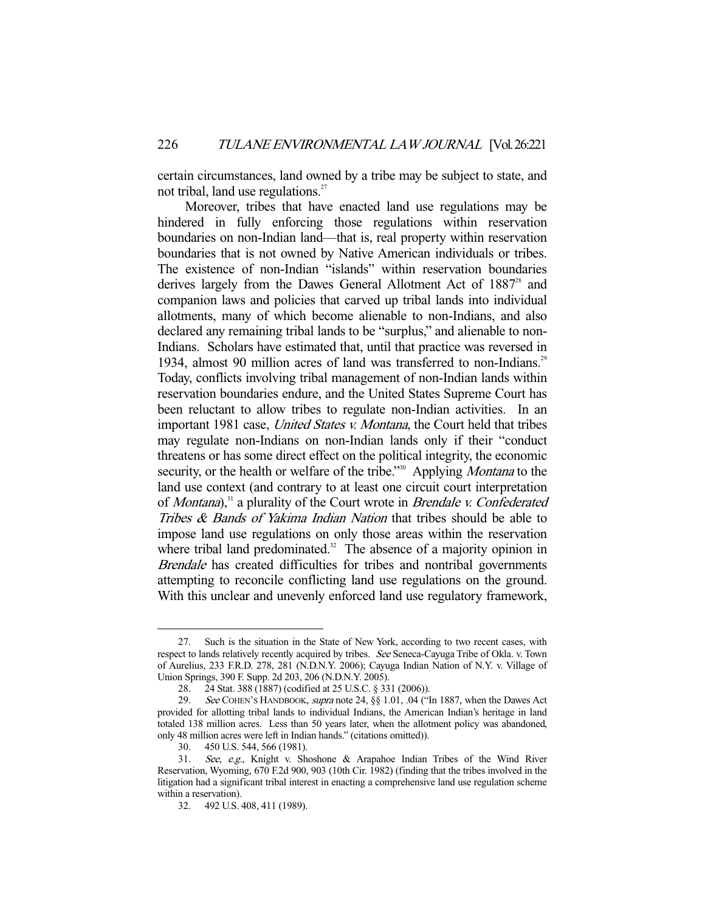certain circumstances, land owned by a tribe may be subject to state, and not tribal, land use regulations. $27$ 

 Moreover, tribes that have enacted land use regulations may be hindered in fully enforcing those regulations within reservation boundaries on non-Indian land—that is, real property within reservation boundaries that is not owned by Native American individuals or tribes. The existence of non-Indian "islands" within reservation boundaries derives largely from the Dawes General Allotment Act of  $1887<sup>28</sup>$  and companion laws and policies that carved up tribal lands into individual allotments, many of which become alienable to non-Indians, and also declared any remaining tribal lands to be "surplus," and alienable to non-Indians. Scholars have estimated that, until that practice was reversed in 1934, almost 90 million acres of land was transferred to non-Indians.<sup>29</sup> Today, conflicts involving tribal management of non-Indian lands within reservation boundaries endure, and the United States Supreme Court has been reluctant to allow tribes to regulate non-Indian activities. In an important 1981 case, *United States v. Montana*, the Court held that tribes may regulate non-Indians on non-Indian lands only if their "conduct threatens or has some direct effect on the political integrity, the economic security, or the health or welfare of the tribe."<sup>30</sup> Applying *Montana* to the land use context (and contrary to at least one circuit court interpretation of *Montana*),<sup>31</sup> a plurality of the Court wrote in *Brendale v. Confederated* Tribes & Bands of Yakima Indian Nation that tribes should be able to impose land use regulations on only those areas within the reservation where tribal land predominated. $32$  The absence of a majority opinion in Brendale has created difficulties for tribes and nontribal governments attempting to reconcile conflicting land use regulations on the ground. With this unclear and unevenly enforced land use regulatory framework,

 <sup>27.</sup> Such is the situation in the State of New York, according to two recent cases, with respect to lands relatively recently acquired by tribes. See Seneca-Cayuga Tribe of Okla. v. Town of Aurelius, 233 F.R.D. 278, 281 (N.D.N.Y. 2006); Cayuga Indian Nation of N.Y. v. Village of Union Springs, 390 F. Supp. 2d 203, 206 (N.D.N.Y. 2005).

<sup>28. 24</sup> Stat. 388 (1887) (codified at 25 U.S.C. § 331 (2006)).<br>29. See COHEN's HANDBOOK. *supra* note 24, § 8 1.01, .04 ("1

See COHEN'S HANDBOOK, supra note 24, §§ 1.01, .04 ("In 1887, when the Dawes Act provided for allotting tribal lands to individual Indians, the American Indian's heritage in land totaled 138 million acres. Less than 50 years later, when the allotment policy was abandoned, only 48 million acres were left in Indian hands." (citations omitted)).

 <sup>30. 450</sup> U.S. 544, 566 (1981).

 <sup>31.</sup> See, e.g., Knight v. Shoshone & Arapahoe Indian Tribes of the Wind River Reservation, Wyoming, 670 F.2d 900, 903 (10th Cir. 1982) (finding that the tribes involved in the litigation had a significant tribal interest in enacting a comprehensive land use regulation scheme within a reservation).

 <sup>32. 492</sup> U.S. 408, 411 (1989).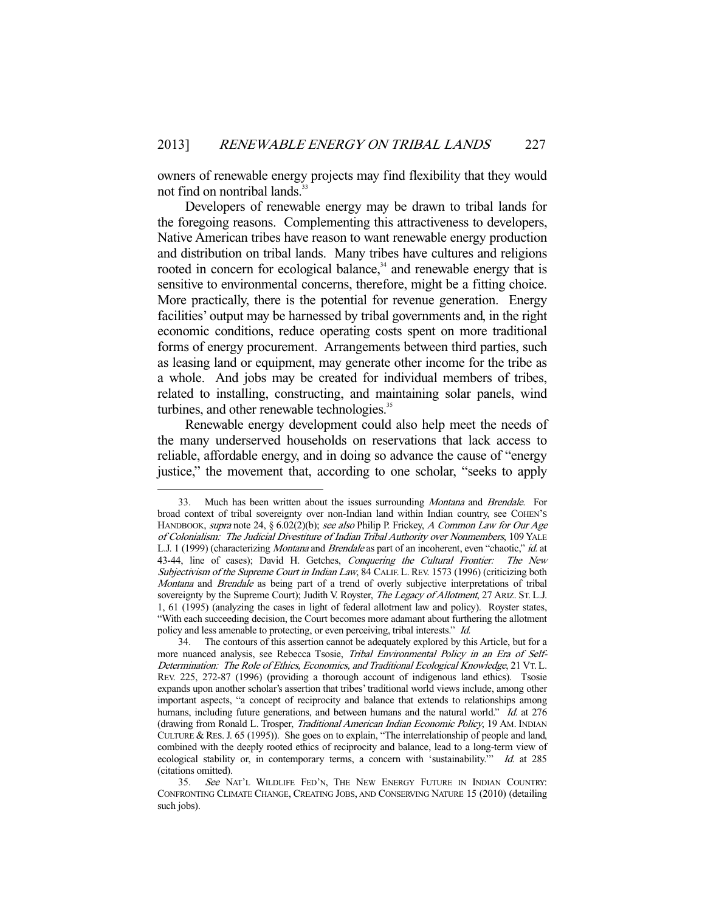owners of renewable energy projects may find flexibility that they would not find on nontribal lands.<sup>3</sup>

 Developers of renewable energy may be drawn to tribal lands for the foregoing reasons. Complementing this attractiveness to developers, Native American tribes have reason to want renewable energy production and distribution on tribal lands. Many tribes have cultures and religions rooted in concern for ecological balance,<sup>34</sup> and renewable energy that is sensitive to environmental concerns, therefore, might be a fitting choice. More practically, there is the potential for revenue generation. Energy facilities' output may be harnessed by tribal governments and, in the right economic conditions, reduce operating costs spent on more traditional forms of energy procurement. Arrangements between third parties, such as leasing land or equipment, may generate other income for the tribe as a whole. And jobs may be created for individual members of tribes, related to installing, constructing, and maintaining solar panels, wind turbines, and other renewable technologies.<sup>35</sup>

 Renewable energy development could also help meet the needs of the many underserved households on reservations that lack access to reliable, affordable energy, and in doing so advance the cause of "energy justice," the movement that, according to one scholar, "seeks to apply

 <sup>33.</sup> Much has been written about the issues surrounding Montana and Brendale. For broad context of tribal sovereignty over non-Indian land within Indian country, see COHEN'S HANDBOOK, supra note 24, § 6.02(2)(b); see also Philip P. Frickey, A Common Law for Our Age of Colonialism: The Judicial Divestiture of Indian Tribal Authority over Nonmembers, 109 YALE L.J. 1 (1999) (characterizing Montana and Brendale as part of an incoherent, even "chaotic," id. at 43-44, line of cases); David H. Getches, Conquering the Cultural Frontier: The New Subjectivism of the Supreme Court in Indian Law, 84 CALIF. L. REV. 1573 (1996) (criticizing both Montana and Brendale as being part of a trend of overly subjective interpretations of tribal sovereignty by the Supreme Court); Judith V. Royster, The Legacy of Allotment, 27 ARIZ. ST. L.J. 1, 61 (1995) (analyzing the cases in light of federal allotment law and policy). Royster states, "With each succeeding decision, the Court becomes more adamant about furthering the allotment policy and less amenable to protecting, or even perceiving, tribal interests." Id.

 <sup>34.</sup> The contours of this assertion cannot be adequately explored by this Article, but for a more nuanced analysis, see Rebecca Tsosie, Tribal Environmental Policy in an Era of Self-Determination: The Role of Ethics, Economics, and Traditional Ecological Knowledge, 21 VT. L. REV. 225, 272-87 (1996) (providing a thorough account of indigenous land ethics). Tsosie expands upon another scholar's assertion that tribes' traditional world views include, among other important aspects, "a concept of reciprocity and balance that extends to relationships among humans, including future generations, and between humans and the natural world." Id. at 276 (drawing from Ronald L. Trosper, Traditional American Indian Economic Policy, 19 AM. INDIAN CULTURE & RES.J. 65 (1995)). She goes on to explain, "The interrelationship of people and land, combined with the deeply rooted ethics of reciprocity and balance, lead to a long-term view of ecological stability or, in contemporary terms, a concern with 'sustainability.'" Id. at 285 (citations omitted).

<sup>35.</sup> See NAT'L WILDLIFE FED'N, THE NEW ENERGY FUTURE IN INDIAN COUNTRY: CONFRONTING CLIMATE CHANGE, CREATING JOBS, AND CONSERVING NATURE 15 (2010) (detailing such jobs).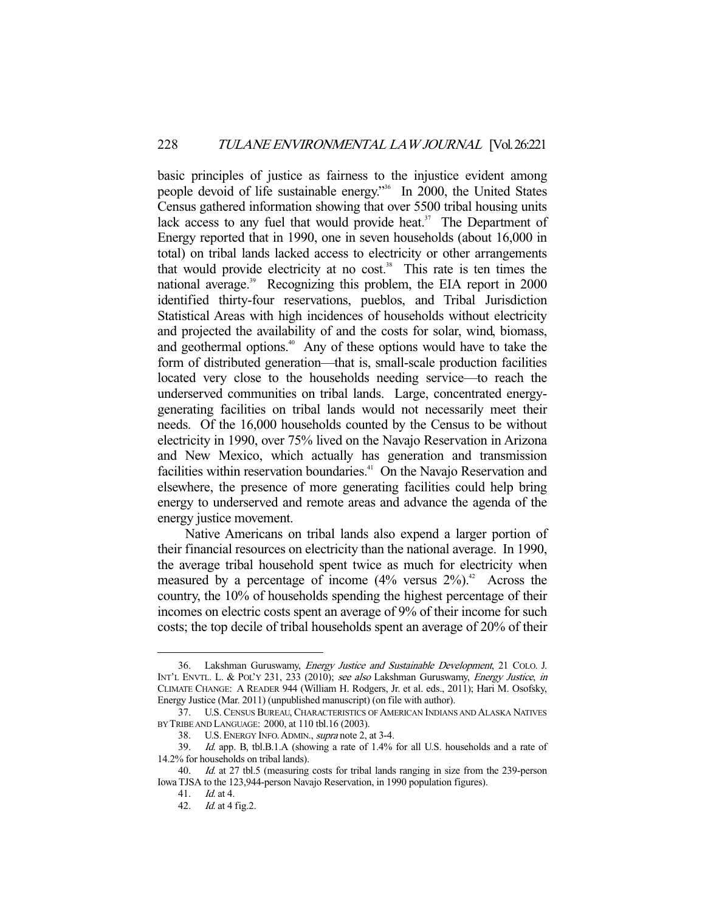basic principles of justice as fairness to the injustice evident among people devoid of life sustainable energy."36 In 2000, the United States Census gathered information showing that over 5500 tribal housing units lack access to any fuel that would provide heat. $37$  The Department of Energy reported that in 1990, one in seven households (about 16,000 in total) on tribal lands lacked access to electricity or other arrangements that would provide electricity at no  $cost$ <sup>38</sup>. This rate is ten times the national average.<sup>39</sup> Recognizing this problem, the EIA report in 2000 identified thirty-four reservations, pueblos, and Tribal Jurisdiction Statistical Areas with high incidences of households without electricity and projected the availability of and the costs for solar, wind, biomass, and geothermal options.<sup>40</sup> Any of these options would have to take the form of distributed generation—that is, small-scale production facilities located very close to the households needing service—to reach the underserved communities on tribal lands. Large, concentrated energygenerating facilities on tribal lands would not necessarily meet their needs. Of the 16,000 households counted by the Census to be without electricity in 1990, over 75% lived on the Navajo Reservation in Arizona and New Mexico, which actually has generation and transmission facilities within reservation boundaries.<sup>41</sup> On the Navajo Reservation and elsewhere, the presence of more generating facilities could help bring energy to underserved and remote areas and advance the agenda of the energy justice movement.

 Native Americans on tribal lands also expend a larger portion of their financial resources on electricity than the national average. In 1990, the average tribal household spent twice as much for electricity when measured by a percentage of income  $(4\%$  versus  $2\%)$ .<sup>42</sup> Across the country, the 10% of households spending the highest percentage of their incomes on electric costs spent an average of 9% of their income for such costs; the top decile of tribal households spent an average of 20% of their

 <sup>36.</sup> Lakshman Guruswamy, Energy Justice and Sustainable Development, 21 COLO. J. INT'L ENVTL. L. & POL'Y 231, 233 (2010); see also Lakshman Guruswamy, Energy Justice, in CLIMATE CHANGE: A READER 944 (William H. Rodgers, Jr. et al. eds., 2011); Hari M. Osofsky, Energy Justice (Mar. 2011) (unpublished manuscript) (on file with author).

 <sup>37.</sup> U.S. CENSUS BUREAU, CHARACTERISTICS OF AMERICAN INDIANS AND ALASKA NATIVES BY TRIBE AND LANGUAGE: 2000, at 110 tbl.16 (2003).

<sup>38.</sup> U.S. ENERGY INFO. ADMIN., *supra* note 2, at 3-4.<br>39. Id. app. B, tbl.B.1.A (showing a rate of  $1.4\%$ )

Id. app. B, tbl.B.1.A (showing a rate of 1.4% for all U.S. households and a rate of 14.2% for households on tribal lands).

<sup>40.</sup> Id. at 27 tbl.5 (measuring costs for tribal lands ranging in size from the 239-person Iowa TJSA to the 123,944-person Navajo Reservation, in 1990 population figures).

 <sup>41.</sup> Id. at 4.

 <sup>42.</sup> Id. at 4 fig.2.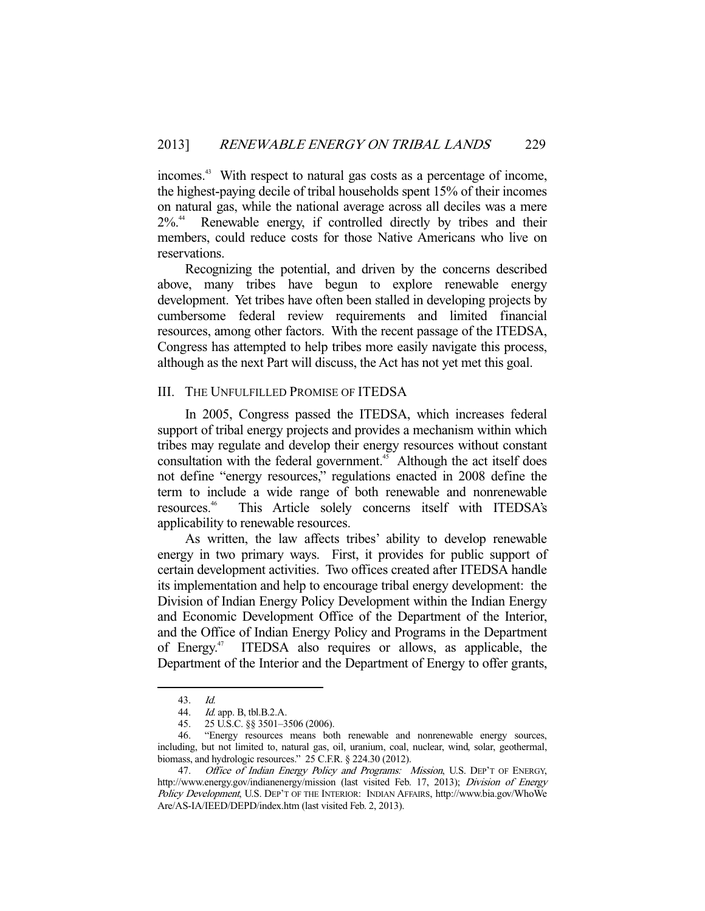incomes.<sup>43</sup> With respect to natural gas costs as a percentage of income, the highest-paying decile of tribal households spent 15% of their incomes on natural gas, while the national average across all deciles was a mere 2%.44 Renewable energy, if controlled directly by tribes and their members, could reduce costs for those Native Americans who live on reservations.

 Recognizing the potential, and driven by the concerns described above, many tribes have begun to explore renewable energy development. Yet tribes have often been stalled in developing projects by cumbersome federal review requirements and limited financial resources, among other factors. With the recent passage of the ITEDSA, Congress has attempted to help tribes more easily navigate this process, although as the next Part will discuss, the Act has not yet met this goal.

### III. THE UNFULFILLED PROMISE OF ITEDSA

 In 2005, Congress passed the ITEDSA, which increases federal support of tribal energy projects and provides a mechanism within which tribes may regulate and develop their energy resources without constant consultation with the federal government.<sup>45</sup> Although the act itself does not define "energy resources," regulations enacted in 2008 define the term to include a wide range of both renewable and nonrenewable resources.46 This Article solely concerns itself with ITEDSA's applicability to renewable resources.

 As written, the law affects tribes' ability to develop renewable energy in two primary ways. First, it provides for public support of certain development activities. Two offices created after ITEDSA handle its implementation and help to encourage tribal energy development: the Division of Indian Energy Policy Development within the Indian Energy and Economic Development Office of the Department of the Interior, and the Office of Indian Energy Policy and Programs in the Department of Energy.47 ITEDSA also requires or allows, as applicable, the Department of the Interior and the Department of Energy to offer grants,

 <sup>43.</sup> Id.

 <sup>44.</sup> Id. app. B, tbl.B.2.A.

 <sup>45. 25</sup> U.S.C. §§ 3501–3506 (2006).

 <sup>46. &</sup>quot;Energy resources means both renewable and nonrenewable energy sources, including, but not limited to, natural gas, oil, uranium, coal, nuclear, wind, solar, geothermal, biomass, and hydrologic resources." 25 C.F.R. § 224.30 (2012).

<sup>47.</sup> Office of Indian Energy Policy and Programs: Mission, U.S. DEP'T OF ENERGY, http://www.energy.gov/indianenergy/mission (last visited Feb. 17, 2013); Division of Energy Policy Development, U.S. DEP'T OF THE INTERIOR: INDIAN AFFAIRS, http://www.bia.gov/WhoWe Are/AS-IA/IEED/DEPD/index.htm (last visited Feb. 2, 2013).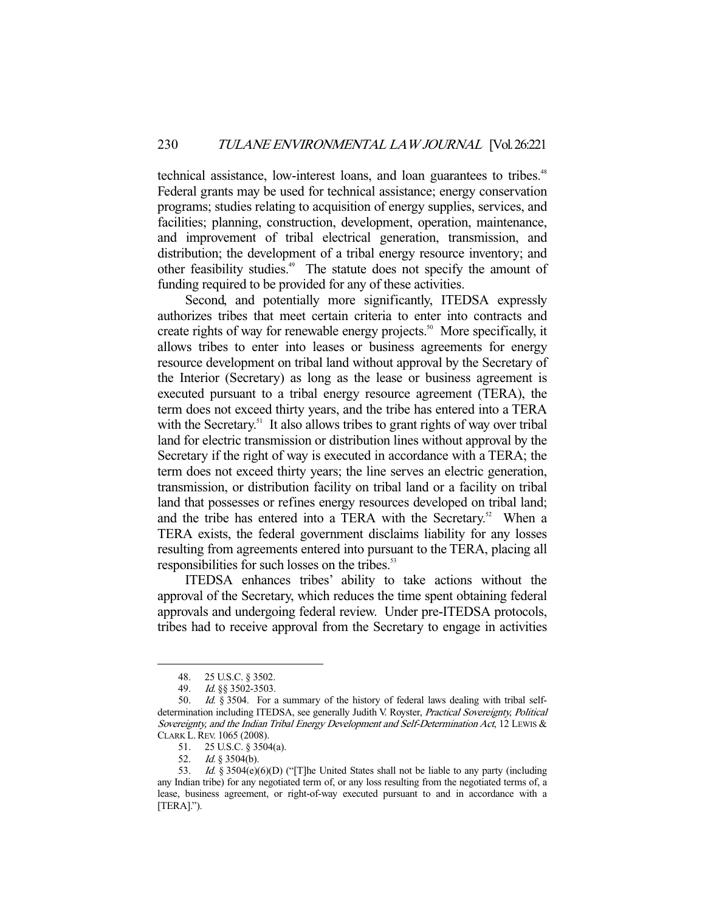technical assistance, low-interest loans, and loan guarantees to tribes.<sup>48</sup> Federal grants may be used for technical assistance; energy conservation programs; studies relating to acquisition of energy supplies, services, and facilities; planning, construction, development, operation, maintenance, and improvement of tribal electrical generation, transmission, and distribution; the development of a tribal energy resource inventory; and other feasibility studies.49 The statute does not specify the amount of funding required to be provided for any of these activities.

Second, and potentially more significantly, ITEDSA expressly authorizes tribes that meet certain criteria to enter into contracts and create rights of way for renewable energy projects.<sup>50</sup> More specifically, it allows tribes to enter into leases or business agreements for energy resource development on tribal land without approval by the Secretary of the Interior (Secretary) as long as the lease or business agreement is executed pursuant to a tribal energy resource agreement (TERA), the term does not exceed thirty years, and the tribe has entered into a TERA with the Secretary.<sup>51</sup> It also allows tribes to grant rights of way over tribal land for electric transmission or distribution lines without approval by the Secretary if the right of way is executed in accordance with a TERA; the term does not exceed thirty years; the line serves an electric generation, transmission, or distribution facility on tribal land or a facility on tribal land that possesses or refines energy resources developed on tribal land; and the tribe has entered into a TERA with the Secretary.<sup>52</sup> When a TERA exists, the federal government disclaims liability for any losses resulting from agreements entered into pursuant to the TERA, placing all responsibilities for such losses on the tribes.<sup>53</sup>

 ITEDSA enhances tribes' ability to take actions without the approval of the Secretary, which reduces the time spent obtaining federal approvals and undergoing federal review. Under pre-ITEDSA protocols, tribes had to receive approval from the Secretary to engage in activities

 <sup>48. 25</sup> U.S.C. § 3502.

<sup>49.</sup> *Id.* §§ 3502-3503.<br>50. *Id.* § 3504. For a

Id. § 3504. For a summary of the history of federal laws dealing with tribal selfdetermination including ITEDSA, see generally Judith V. Royster, Practical Sovereignty, Political Sovereignty, and the Indian Tribal Energy Development and Self-Determination Act, 12 Lewis & CLARK L.REV. 1065 (2008).

 <sup>51. 25</sup> U.S.C. § 3504(a).

<sup>52.</sup> *Id.* § 3504(b).

<sup>53.</sup> Id. § 3504(e)(6)(D) ("[T]he United States shall not be liable to any party (including any Indian tribe) for any negotiated term of, or any loss resulting from the negotiated terms of, a lease, business agreement, or right-of-way executed pursuant to and in accordance with a [TERA].").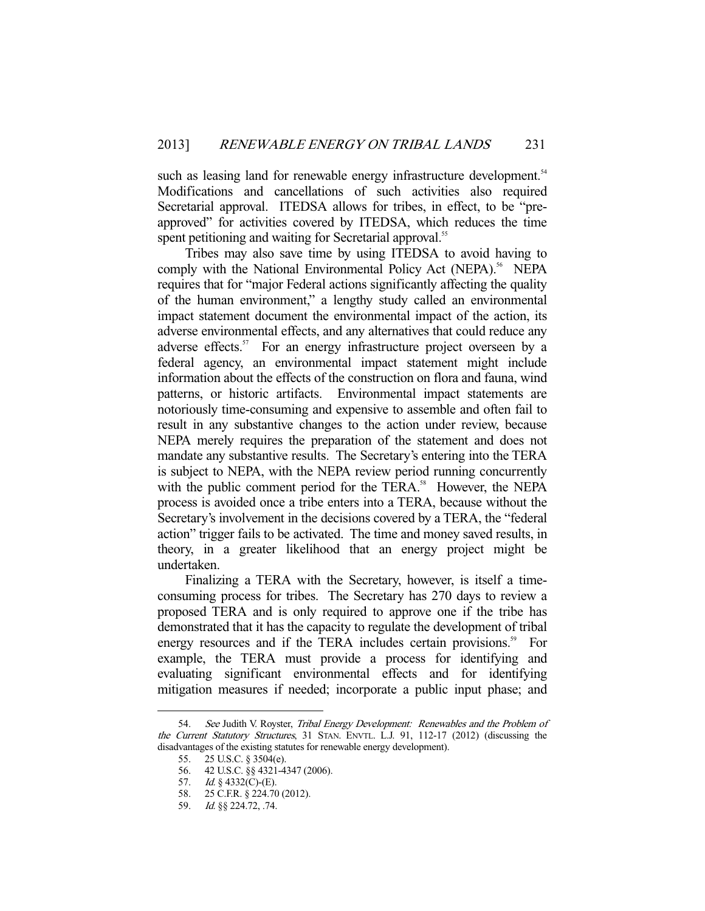such as leasing land for renewable energy infrastructure development.<sup>54</sup> Modifications and cancellations of such activities also required Secretarial approval. ITEDSA allows for tribes, in effect, to be "preapproved" for activities covered by ITEDSA, which reduces the time spent petitioning and waiting for Secretarial approval.<sup>55</sup>

 Tribes may also save time by using ITEDSA to avoid having to comply with the National Environmental Policy Act (NEPA).<sup>56</sup> NEPA requires that for "major Federal actions significantly affecting the quality of the human environment," a lengthy study called an environmental impact statement document the environmental impact of the action, its adverse environmental effects, and any alternatives that could reduce any adverse effects.<sup>57</sup> For an energy infrastructure project overseen by a federal agency, an environmental impact statement might include information about the effects of the construction on flora and fauna, wind patterns, or historic artifacts. Environmental impact statements are notoriously time-consuming and expensive to assemble and often fail to result in any substantive changes to the action under review, because NEPA merely requires the preparation of the statement and does not mandate any substantive results. The Secretary's entering into the TERA is subject to NEPA, with the NEPA review period running concurrently with the public comment period for the TERA.<sup>58</sup> However, the NEPA process is avoided once a tribe enters into a TERA, because without the Secretary's involvement in the decisions covered by a TERA, the "federal action" trigger fails to be activated. The time and money saved results, in theory, in a greater likelihood that an energy project might be undertaken.

 Finalizing a TERA with the Secretary, however, is itself a timeconsuming process for tribes. The Secretary has 270 days to review a proposed TERA and is only required to approve one if the tribe has demonstrated that it has the capacity to regulate the development of tribal energy resources and if the TERA includes certain provisions.<sup>59</sup> For example, the TERA must provide a process for identifying and evaluating significant environmental effects and for identifying mitigation measures if needed; incorporate a public input phase; and

<sup>54.</sup> See Judith V. Royster, Tribal Energy Development: Renewables and the Problem of the Current Statutory Structures, 31 STAN. ENVTL. L.J. 91, 112-17 (2012) (discussing the disadvantages of the existing statutes for renewable energy development).

 <sup>55. 25</sup> U.S.C. § 3504(e).

 <sup>56. 42</sup> U.S.C. §§ 4321-4347 (2006).

<sup>57.</sup> *Id.* § 4332( $\check{C}$ )-(E).

 <sup>58. 25</sup> C.F.R. § 224.70 (2012).

 <sup>59.</sup> Id. §§ 224.72, .74.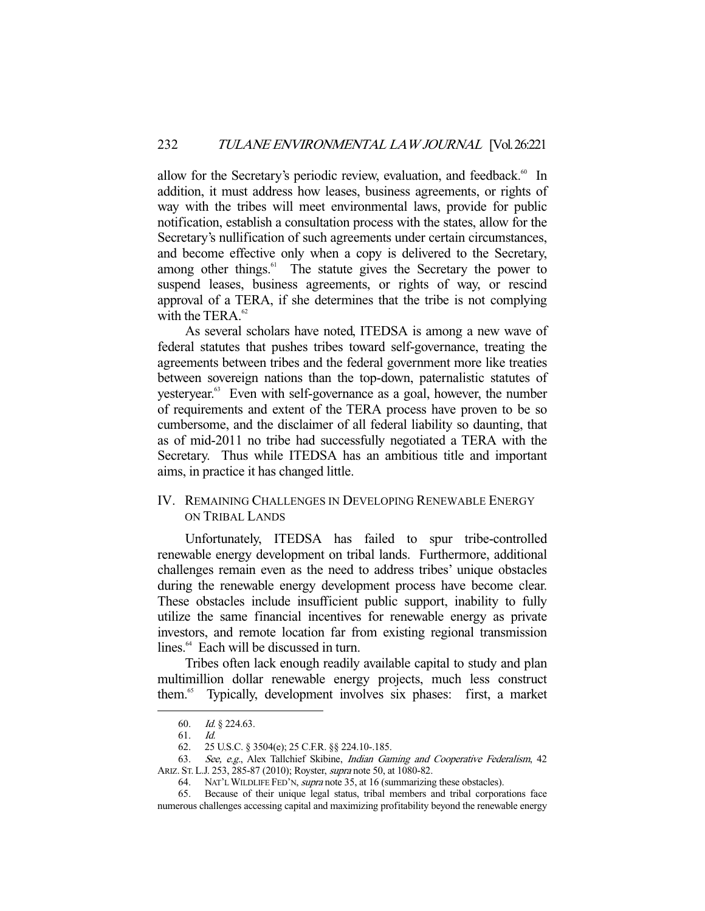allow for the Secretary's periodic review, evaluation, and feedback.<sup>60</sup> In addition, it must address how leases, business agreements, or rights of way with the tribes will meet environmental laws, provide for public notification, establish a consultation process with the states, allow for the Secretary's nullification of such agreements under certain circumstances, and become effective only when a copy is delivered to the Secretary, among other things.<sup>61</sup> The statute gives the Secretary the power to suspend leases, business agreements, or rights of way, or rescind approval of a TERA, if she determines that the tribe is not complying with the TERA. $62$ 

 As several scholars have noted, ITEDSA is among a new wave of federal statutes that pushes tribes toward self-governance, treating the agreements between tribes and the federal government more like treaties between sovereign nations than the top-down, paternalistic statutes of yesteryear.<sup>63</sup> Even with self-governance as a goal, however, the number of requirements and extent of the TERA process have proven to be so cumbersome, and the disclaimer of all federal liability so daunting, that as of mid-2011 no tribe had successfully negotiated a TERA with the Secretary. Thus while ITEDSA has an ambitious title and important aims, in practice it has changed little.

## IV. REMAINING CHALLENGES IN DEVELOPING RENEWABLE ENERGY ON TRIBAL LANDS

 Unfortunately, ITEDSA has failed to spur tribe-controlled renewable energy development on tribal lands. Furthermore, additional challenges remain even as the need to address tribes' unique obstacles during the renewable energy development process have become clear. These obstacles include insufficient public support, inability to fully utilize the same financial incentives for renewable energy as private investors, and remote location far from existing regional transmission lines.<sup>64</sup> Each will be discussed in turn.

 Tribes often lack enough readily available capital to study and plan multimillion dollar renewable energy projects, much less construct them.65 Typically, development involves six phases: first, a market

 <sup>60.</sup> Id. § 224.63.

 <sup>61.</sup> Id.

 <sup>62. 25</sup> U.S.C. § 3504(e); 25 C.F.R. §§ 224.10-.185.

<sup>63.</sup> See, e.g., Alex Tallchief Skibine, *Indian Gaming and Cooperative Federalism*, 42 ARIZ. ST. L.J. 253, 285-87 (2010); Royster, supra note 50, at 1080-82.

<sup>64.</sup> NAT'L WILDLIFE FED'N, *supra* note 35, at 16 (summarizing these obstacles).

 <sup>65.</sup> Because of their unique legal status, tribal members and tribal corporations face numerous challenges accessing capital and maximizing profitability beyond the renewable energy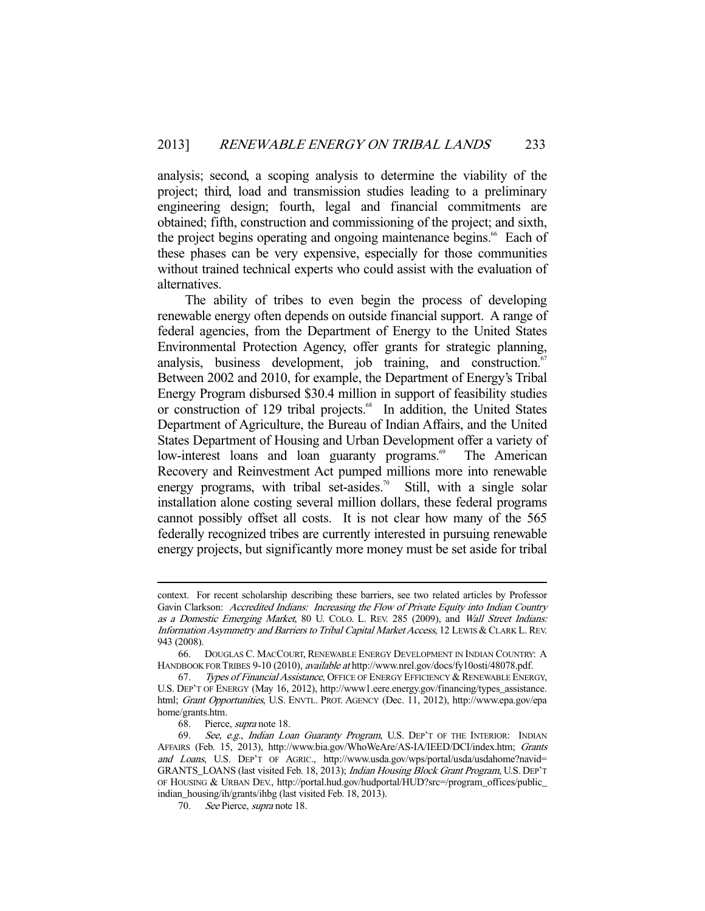analysis; second, a scoping analysis to determine the viability of the project; third, load and transmission studies leading to a preliminary engineering design; fourth, legal and financial commitments are obtained; fifth, construction and commissioning of the project; and sixth, the project begins operating and ongoing maintenance begins.<sup>66</sup> Each of these phases can be very expensive, especially for those communities without trained technical experts who could assist with the evaluation of alternatives.

 The ability of tribes to even begin the process of developing renewable energy often depends on outside financial support. A range of federal agencies, from the Department of Energy to the United States Environmental Protection Agency, offer grants for strategic planning, analysis, business development, job training, and construction.<sup>67</sup> Between 2002 and 2010, for example, the Department of Energy's Tribal Energy Program disbursed \$30.4 million in support of feasibility studies or construction of 129 tribal projects.<sup>68</sup> In addition, the United States Department of Agriculture, the Bureau of Indian Affairs, and the United States Department of Housing and Urban Development offer a variety of low-interest loans and loan guaranty programs.<sup>69</sup> The American Recovery and Reinvestment Act pumped millions more into renewable energy programs, with tribal set-asides.<sup>70</sup> Still, with a single solar installation alone costing several million dollars, these federal programs cannot possibly offset all costs. It is not clear how many of the 565 federally recognized tribes are currently interested in pursuing renewable energy projects, but significantly more money must be set aside for tribal

context. For recent scholarship describing these barriers, see two related articles by Professor Gavin Clarkson: Accredited Indians: Increasing the Flow of Private Equity into Indian Country as a Domestic Emerging Market, 80 U. COLO. L. REV. 285 (2009), and Wall Street Indians: Information Asymmetry and Barriers to Tribal Capital Market Access, 12 LEWIS & CLARK L.REV. 943 (2008).

 <sup>66.</sup> DOUGLAS C. MACCOURT, RENEWABLE ENERGY DEVELOPMENT IN INDIAN COUNTRY: A HANDBOOK FOR TRIBES 9-10 (2010), available at http://www.nrel.gov/docs/fy10osti/48078.pdf.

<sup>67.</sup> Types of Financial Assistance, OFFICE OF ENERGY EFFICIENCY & RENEWABLE ENERGY, U.S. DEP'T OF ENERGY (May 16, 2012), http://www1.eere.energy.gov/financing/types\_assistance. html; Grant Opportunities, U.S. ENVTL. PROT. AGENCY (Dec. 11, 2012), http://www.epa.gov/epa home/grants.htm.

 <sup>68.</sup> Pierce, supra note 18.

<sup>69.</sup> See, e.g., Indian Loan Guaranty Program, U.S. DEP'T OF THE INTERIOR: INDIAN AFFAIRS (Feb. 15, 2013), http://www.bia.gov/WhoWeAre/AS-IA/IEED/DCI/index.htm; Grants and Loans, U.S. DEP'T OF AGRIC., http://www.usda.gov/wps/portal/usda/usdahome?navid= GRANTS\_LOANS (last visited Feb. 18, 2013); Indian Housing Block Grant Program, U.S. DEP'T OF HOUSING & URBAN DEV., http://portal.hud.gov/hudportal/HUD?src=/program\_offices/public\_ indian\_housing/ih/grants/ihbg (last visited Feb. 18, 2013).

 <sup>70.</sup> See Pierce, supra note 18.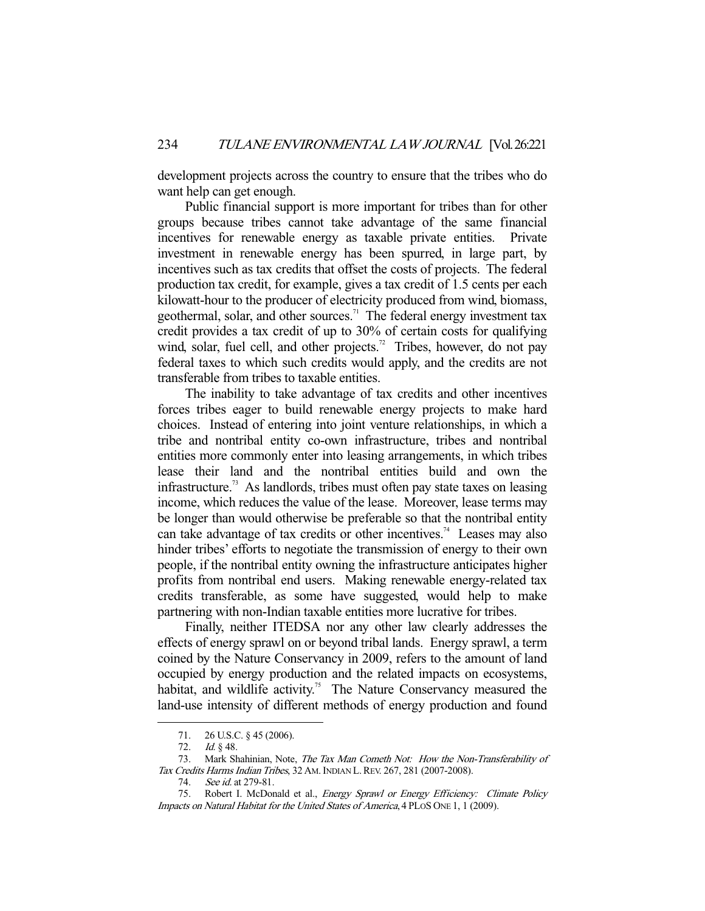development projects across the country to ensure that the tribes who do want help can get enough.

 Public financial support is more important for tribes than for other groups because tribes cannot take advantage of the same financial incentives for renewable energy as taxable private entities. Private investment in renewable energy has been spurred, in large part, by incentives such as tax credits that offset the costs of projects. The federal production tax credit, for example, gives a tax credit of 1.5 cents per each kilowatt-hour to the producer of electricity produced from wind, biomass, geothermal, solar, and other sources.<sup>71</sup> The federal energy investment tax credit provides a tax credit of up to 30% of certain costs for qualifying wind, solar, fuel cell, and other projects.<sup>72</sup> Tribes, however, do not pay federal taxes to which such credits would apply, and the credits are not transferable from tribes to taxable entities.

 The inability to take advantage of tax credits and other incentives forces tribes eager to build renewable energy projects to make hard choices. Instead of entering into joint venture relationships, in which a tribe and nontribal entity co-own infrastructure, tribes and nontribal entities more commonly enter into leasing arrangements, in which tribes lease their land and the nontribal entities build and own the infrastructure.73 As landlords, tribes must often pay state taxes on leasing income, which reduces the value of the lease. Moreover, lease terms may be longer than would otherwise be preferable so that the nontribal entity can take advantage of tax credits or other incentives.<sup>74</sup> Leases may also hinder tribes' efforts to negotiate the transmission of energy to their own people, if the nontribal entity owning the infrastructure anticipates higher profits from nontribal end users. Making renewable energy-related tax credits transferable, as some have suggested, would help to make partnering with non-Indian taxable entities more lucrative for tribes.

 Finally, neither ITEDSA nor any other law clearly addresses the effects of energy sprawl on or beyond tribal lands. Energy sprawl, a term coined by the Nature Conservancy in 2009, refers to the amount of land occupied by energy production and the related impacts on ecosystems, habitat, and wildlife activity.<sup>75</sup> The Nature Conservancy measured the land-use intensity of different methods of energy production and found

 <sup>71. 26</sup> U.S.C. § 45 (2006).

<sup>72.</sup> *Id.* § 48.

<sup>73.</sup> Mark Shahinian, Note, The Tax Man Cometh Not: How the Non-Transferability of Tax Credits Harms Indian Tribes, 32 AM. INDIAN L. REV. 267, 281 (2007-2008).

<sup>74.</sup> See id. at 279-81.

<sup>75.</sup> Robert I. McDonald et al., Energy Sprawl or Energy Efficiency: Climate Policy Impacts on Natural Habitat for the United States of America, 4 PLOS ONE 1, 1 (2009).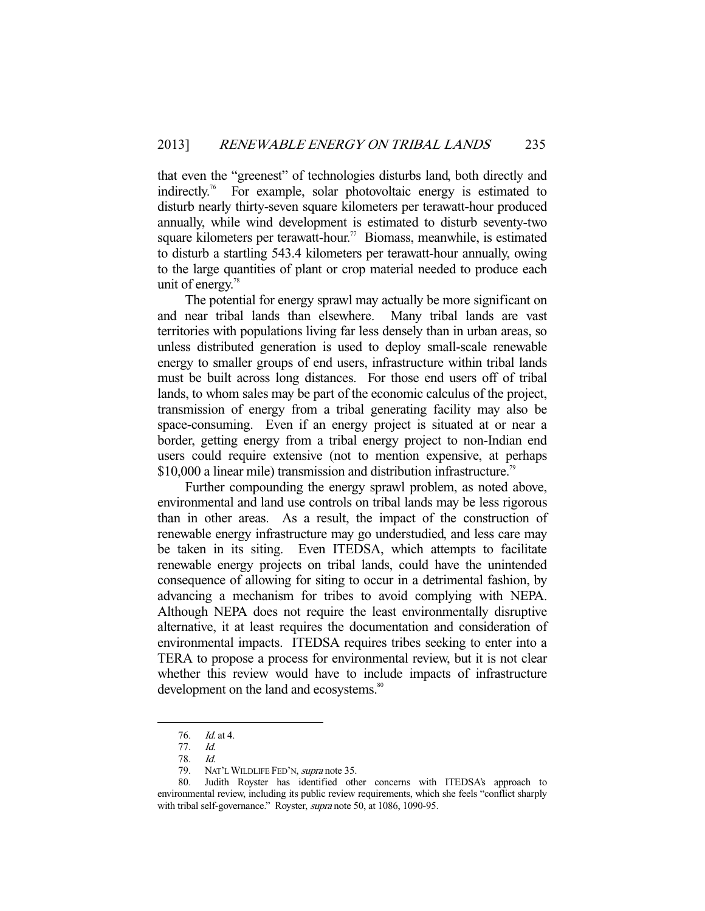that even the "greenest" of technologies disturbs land, both directly and indirectly.76 For example, solar photovoltaic energy is estimated to disturb nearly thirty-seven square kilometers per terawatt-hour produced annually, while wind development is estimated to disturb seventy-two square kilometers per terawatt-hour.<sup>77</sup> Biomass, meanwhile, is estimated to disturb a startling 543.4 kilometers per terawatt-hour annually, owing to the large quantities of plant or crop material needed to produce each unit of energy.<sup>78</sup>

 The potential for energy sprawl may actually be more significant on and near tribal lands than elsewhere. Many tribal lands are vast territories with populations living far less densely than in urban areas, so unless distributed generation is used to deploy small-scale renewable energy to smaller groups of end users, infrastructure within tribal lands must be built across long distances. For those end users off of tribal lands, to whom sales may be part of the economic calculus of the project, transmission of energy from a tribal generating facility may also be space-consuming. Even if an energy project is situated at or near a border, getting energy from a tribal energy project to non-Indian end users could require extensive (not to mention expensive, at perhaps \$10,000 a linear mile) transmission and distribution infrastructure.<sup>79</sup>

 Further compounding the energy sprawl problem, as noted above, environmental and land use controls on tribal lands may be less rigorous than in other areas. As a result, the impact of the construction of renewable energy infrastructure may go understudied, and less care may be taken in its siting. Even ITEDSA, which attempts to facilitate renewable energy projects on tribal lands, could have the unintended consequence of allowing for siting to occur in a detrimental fashion, by advancing a mechanism for tribes to avoid complying with NEPA. Although NEPA does not require the least environmentally disruptive alternative, it at least requires the documentation and consideration of environmental impacts. ITEDSA requires tribes seeking to enter into a TERA to propose a process for environmental review, but it is not clear whether this review would have to include impacts of infrastructure development on the land and ecosystems.<sup>80</sup>

 <sup>76.</sup> Id. at 4.

 <sup>77.</sup> Id.

 <sup>78.</sup> Id.

<sup>79.</sup> NAT'L WILDLIFE FED'N, supra note 35.

 <sup>80.</sup> Judith Royster has identified other concerns with ITEDSA's approach to environmental review, including its public review requirements, which she feels "conflict sharply with tribal self-governance." Royster, supra note 50, at 1086, 1090-95.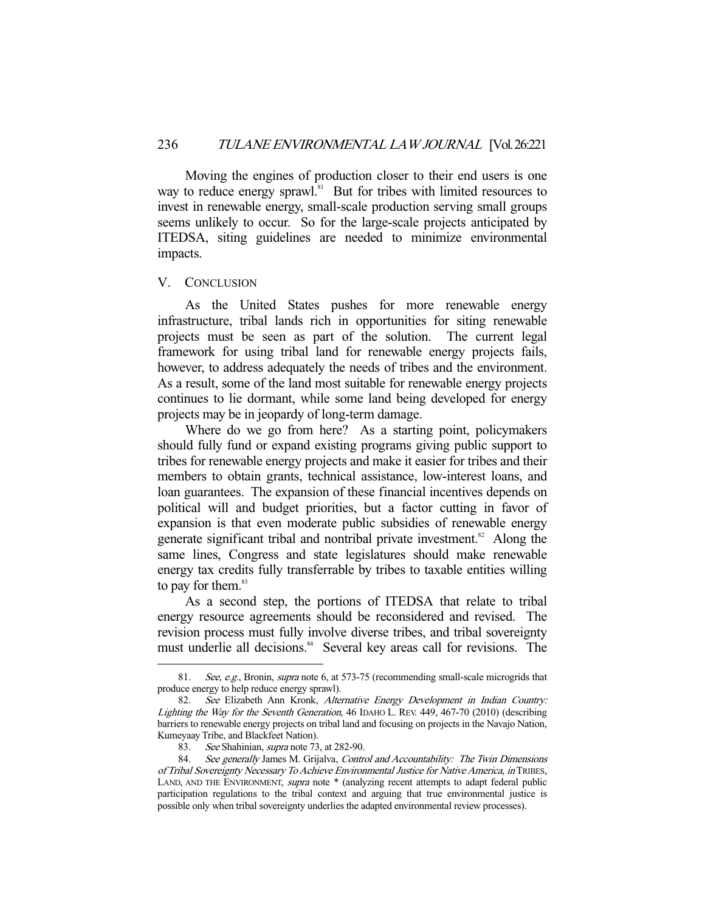Moving the engines of production closer to their end users is one way to reduce energy sprawl.<sup>81</sup> But for tribes with limited resources to invest in renewable energy, small-scale production serving small groups seems unlikely to occur. So for the large-scale projects anticipated by ITEDSA, siting guidelines are needed to minimize environmental impacts.

#### V. CONCLUSION

-

 As the United States pushes for more renewable energy infrastructure, tribal lands rich in opportunities for siting renewable projects must be seen as part of the solution. The current legal framework for using tribal land for renewable energy projects fails, however, to address adequately the needs of tribes and the environment. As a result, some of the land most suitable for renewable energy projects continues to lie dormant, while some land being developed for energy projects may be in jeopardy of long-term damage.

 Where do we go from here? As a starting point, policymakers should fully fund or expand existing programs giving public support to tribes for renewable energy projects and make it easier for tribes and their members to obtain grants, technical assistance, low-interest loans, and loan guarantees. The expansion of these financial incentives depends on political will and budget priorities, but a factor cutting in favor of expansion is that even moderate public subsidies of renewable energy generate significant tribal and nontribal private investment.<sup>82</sup> Along the same lines, Congress and state legislatures should make renewable energy tax credits fully transferrable by tribes to taxable entities willing to pay for them. $83$ 

 As a second step, the portions of ITEDSA that relate to tribal energy resource agreements should be reconsidered and revised. The revision process must fully involve diverse tribes, and tribal sovereignty must underlie all decisions.<sup>84</sup> Several key areas call for revisions. The

<sup>81.</sup> See, e.g., Bronin, *supra* note 6, at 573-75 (recommending small-scale microgrids that produce energy to help reduce energy sprawl).

<sup>82.</sup> See Elizabeth Ann Kronk, Alternative Energy Development in Indian Country: Lighting the Way for the Seventh Generation, 46 IDAHO L. REV. 449, 467-70 (2010) (describing barriers to renewable energy projects on tribal land and focusing on projects in the Navajo Nation, Kumeyaay Tribe, and Blackfeet Nation).

 <sup>83.</sup> See Shahinian, supra note 73, at 282-90.

<sup>84.</sup> See generally James M. Grijalva, Control and Accountability: The Twin Dimensions of Tribal Sovereignty Necessary To Achieve Environmental Justice for Native America, in TRIBES, LAND, AND THE ENVIRONMENT, supra note \* (analyzing recent attempts to adapt federal public participation regulations to the tribal context and arguing that true environmental justice is possible only when tribal sovereignty underlies the adapted environmental review processes).